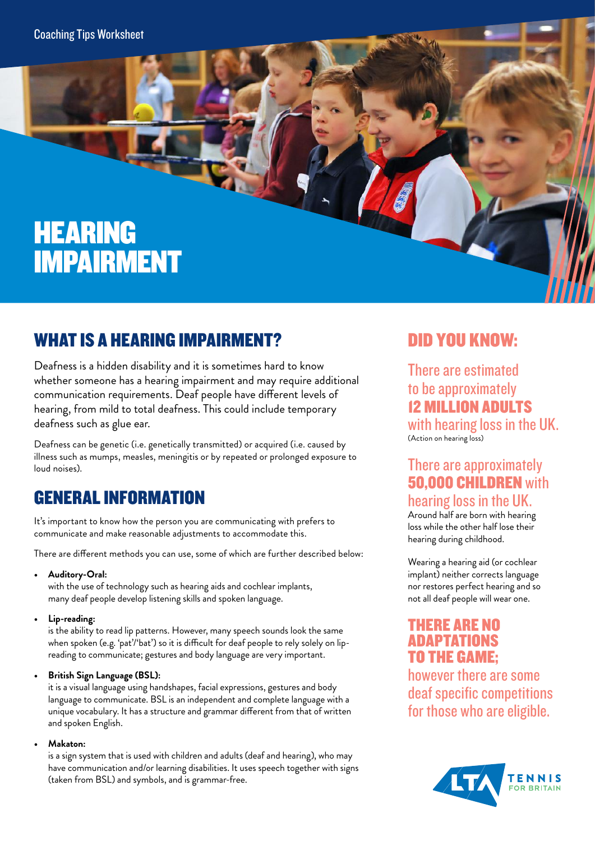# HEARING IMPAIRMENT

## WHAT IS A HEARING IMPAIRMENT?

Deafness is a hidden disability and it is sometimes hard to know whether someone has a hearing impairment and may require additional communication requirements. Deaf people have different levels of hearing, from mild to total deafness. This could include temporary deafness such as glue ear.

Deafness can be genetic (i.e. genetically transmitted) or acquired (i.e. caused by illness such as mumps, measles, meningitis or by repeated or prolonged exposure to loud noises).

## GENERAL INFORMATION

It's important to know how the person you are communicating with prefers to communicate and make reasonable adjustments to accommodate this.

There are different methods you can use, some of which are further described below:

**• Auditory-Oral:** 

with the use of technology such as hearing aids and cochlear implants, many deaf people develop listening skills and spoken language.

**• Lip-reading:** 

is the ability to read lip patterns. However, many speech sounds look the same when spoken (e.g. 'pat'/'bat') so it is difficult for deaf people to rely solely on lipreading to communicate; gestures and body language are very important.

**• British Sign Language (BSL):** 

it is a visual language using handshapes, facial expressions, gestures and body language to communicate. BSL is an independent and complete language with a unique vocabulary. It has a structure and grammar different from that of written and spoken English.

**• Makaton:** 

is a sign system that is used with children and adults (deaf and hearing), who may have communication and/or learning disabilities. It uses speech together with signs (taken from BSL) and symbols, and is grammar-free.

## DID YOU KNOW:

There are estimated to be approximately 12 MILLION ADULTS with hearing loss in the UK. (Action on hearing loss)

#### There are approximately **50,000 CHILDREN** with hearing loss in the UK.

Around half are born with hearing loss while the other half lose their hearing during childhood.

Wearing a hearing aid (or cochlear implant) neither corrects language nor restores perfect hearing and so not all deaf people will wear one.

#### THERE ARE NO ADAPTATIONS TO THE GAME;

however there are some deaf specific competitions for those who are eligible.